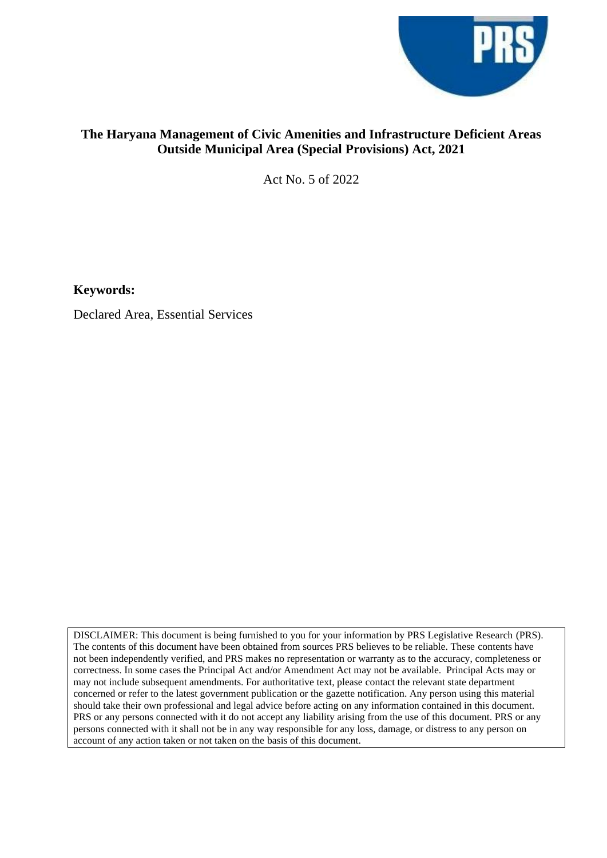

# **The Haryana Management of Civic Amenities and Infrastructure Deficient Areas Outside Municipal Area (Special Provisions) Act, 2021**

Act No. 5 of 2022

**Keywords:**

Declared Area, Essential Services

DISCLAIMER: This document is being furnished to you for your information by PRS Legislative Research (PRS). The contents of this document have been obtained from sources PRS believes to be reliable. These contents have not been independently verified, and PRS makes no representation or warranty as to the accuracy, completeness or correctness. In some cases the Principal Act and/or Amendment Act may not be available. Principal Acts may or may not include subsequent amendments. For authoritative text, please contact the relevant state department concerned or refer to the latest government publication or the gazette notification. Any person using this material should take their own professional and legal advice before acting on any information contained in this document. PRS or any persons connected with it do not accept any liability arising from the use of this document. PRS or any persons connected with it shall not be in any way responsible for any loss, damage, or distress to any person on account of any action taken or not taken on the basis of this document.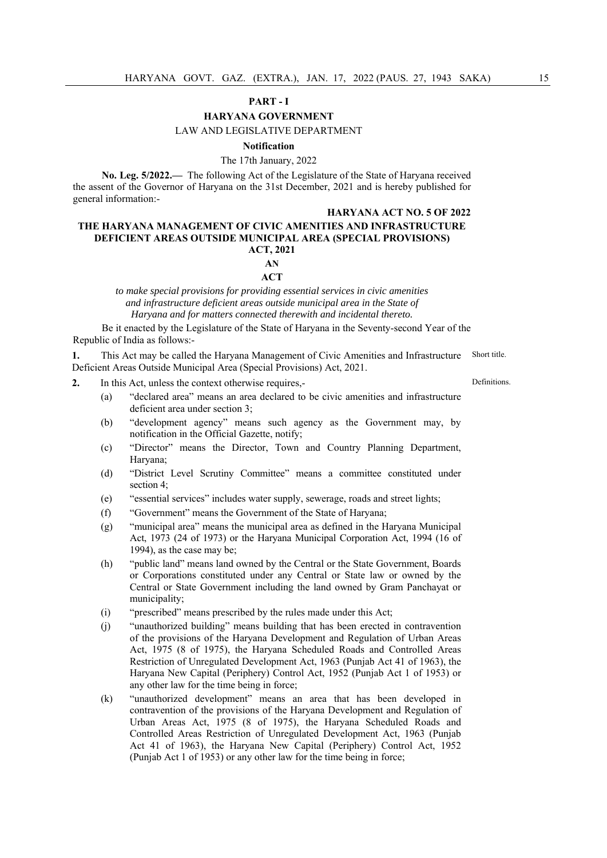## **PART - I**

## **HARYANA GOVERNMENT**

## LAW AND LEGISLATIVE DEPARTMENT

## **Notification**

# The 17th January, 2022

**No. Leg. 5/2022.—** The following Act of the Legislature of the State of Haryana received the assent of the Governor of Haryana on the 31st December, 2021 and is hereby published for general information:-

#### **HARYANA ACT NO. 5 OF 2022**

## **THE HARYANA MANAGEMENT OF CIVIC AMENITIES AND INFRASTRUCTURE DEFICIENT AREAS OUTSIDE MUNICIPAL AREA (SPECIAL PROVISIONS) ACT, 2021 AN**

## **ACT**

*to make special provisions for providing essential services in civic amenities and infrastructure deficient areas outside municipal area in the State of Haryana and for matters connected therewith and incidental thereto.* 

Be it enacted by the Legislature of the State of Haryana in the Seventy-second Year of the Republic of India as follows:-

**1.** This Act may be called the Haryana Management of Civic Amenities and Infrastructure Deficient Areas Outside Municipal Area (Special Provisions) Act, 2021. Short title.

- **2.** In this Act, unless the context otherwise requires,-
	- (a) "declared area" means an area declared to be civic amenities and infrastructure deficient area under section 3;
	- (b) "development agency" means such agency as the Government may, by notification in the Official Gazette, notify;
	- (c) "Director" means the Director, Town and Country Planning Department, Haryana;
	- (d) "District Level Scrutiny Committee" means a committee constituted under section 4;
	- (e) "essential services" includes water supply, sewerage, roads and street lights;
	- (f) "Government" means the Government of the State of Haryana;
	- (g) "municipal area" means the municipal area as defined in the Haryana Municipal Act, 1973 (24 of 1973) or the Haryana Municipal Corporation Act, 1994 (16 of 1994), as the case may be;
	- (h) "public land" means land owned by the Central or the State Government, Boards or Corporations constituted under any Central or State law or owned by the Central or State Government including the land owned by Gram Panchayat or municipality;
	- (i) "prescribed" means prescribed by the rules made under this Act;
	- (j) "unauthorized building" means building that has been erected in contravention of the provisions of the Haryana Development and Regulation of Urban Areas Act, 1975 (8 of 1975), the Haryana Scheduled Roads and Controlled Areas Restriction of Unregulated Development Act, 1963 (Punjab Act 41 of 1963), the Haryana New Capital (Periphery) Control Act, 1952 (Punjab Act 1 of 1953) or any other law for the time being in force;
	- (k) "unauthorized development" means an area that has been developed in contravention of the provisions of the Haryana Development and Regulation of Urban Areas Act, 1975 (8 of 1975), the Haryana Scheduled Roads and Controlled Areas Restriction of Unregulated Development Act, 1963 (Punjab Act 41 of 1963), the Haryana New Capital (Periphery) Control Act, 1952 (Punjab Act 1 of 1953) or any other law for the time being in force;

Definitions.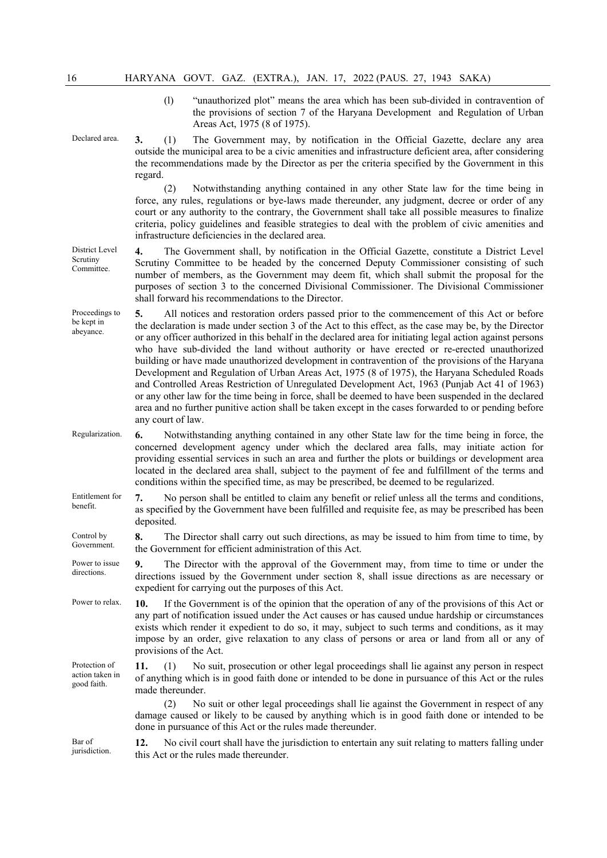(l) "unauthorized plot" means the area which has been sub-divided in contravention of the provisions of section 7 of the Haryana Development and Regulation of Urban Areas Act, 1975 (8 of 1975).

Declared area. **3.** (1) The Government may, by notification in the Official Gazette, declare any area outside the municipal area to be a civic amenities and infrastructure deficient area, after considering the recommendations made by the Director as per the criteria specified by the Government in this regard.

> (2) Notwithstanding anything contained in any other State law for the time being in force, any rules, regulations or bye-laws made thereunder, any judgment, decree or order of any court or any authority to the contrary, the Government shall take all possible measures to finalize criteria, policy guidelines and feasible strategies to deal with the problem of civic amenities and infrastructure deficiencies in the declared area.

District Level **4.** The Government shall, by notification in the Official Gazette, constitute a District Level Scrutiny Committee to be headed by the concerned Deputy Commissioner consisting of such number of members, as the Government may deem fit, which shall submit the proposal for the purposes of section 3 to the concerned Divisional Commissioner. The Divisional Commissioner shall forward his recommendations to the Director.

Proceedings to be kept in abeyance. **5.** All notices and restoration orders passed prior to the commencement of this Act or before the declaration is made under section 3 of the Act to this effect, as the case may be, by the Director or any officer authorized in this behalf in the declared area for initiating legal action against persons who have sub-divided the land without authority or have erected or re-erected unauthorized building or have made unauthorized development in contravention of the provisions of the Haryana Development and Regulation of Urban Areas Act, 1975 (8 of 1975), the Haryana Scheduled Roads and Controlled Areas Restriction of Unregulated Development Act, 1963 (Punjab Act 41 of 1963) or any other law for the time being in force, shall be deemed to have been suspended in the declared area and no further punitive action shall be taken except in the cases forwarded to or pending before any court of law.

- Regularization. **6.** Notwithstanding anything contained in any other State law for the time being in force, the concerned development agency under which the declared area falls, may initiate action for providing essential services in such an area and further the plots or buildings or development area located in the declared area shall, subject to the payment of fee and fulfillment of the terms and conditions within the specified time, as may be prescribed, be deemed to be regularized.
- Entitlement for benefit. **7.** No person shall be entitled to claim any benefit or relief unless all the terms and conditions, as specified by the Government have been fulfilled and requisite fee, as may be prescribed has been deposited.

Control by Government. **8.** The Director shall carry out such directions, as may be issued to him from time to time, by the Government for efficient administration of this Act.

- Power to issue directions. **9.** The Director with the approval of the Government may, from time to time or under the directions issued by the Government under section 8, shall issue directions as are necessary or expedient for carrying out the purposes of this Act.
- Power to relax. **10.** If the Government is of the opinion that the operation of any of the provisions of this Act or any part of notification issued under the Act causes or has caused undue hardship or circumstances exists which render it expedient to do so, it may, subject to such terms and conditions, as it may impose by an order, give relaxation to any class of persons or area or land from all or any of provisions of the Act.
- Protection of action taken in good faith. **11.** (1) No suit, prosecution or other legal proceedings shall lie against any person in respect of anything which is in good faith done or intended to be done in pursuance of this Act or the rules made thereunder.

No suit or other legal proceedings shall lie against the Government in respect of any damage caused or likely to be caused by anything which is in good faith done or intended to be done in pursuance of this Act or the rules made thereunder.

Bar of jurisdiction. **12.** No civil court shall have the jurisdiction to entertain any suit relating to matters falling under this Act or the rules made thereunder.

Scrutiny Committee.